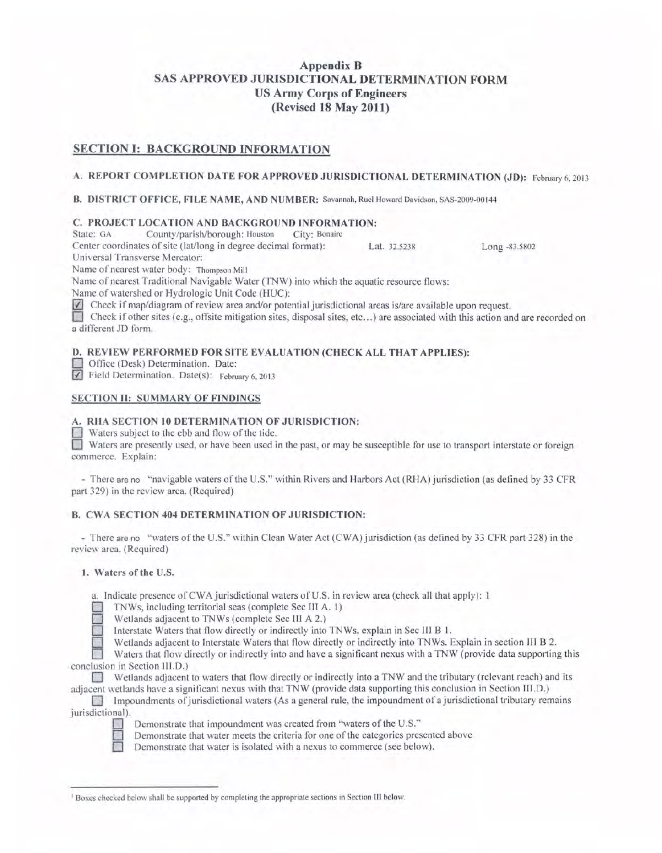# **Appendix B SAS APPROVED JURISDICTIONAL DETERMINATION FORM US Army Corps of Engineers (Revised 18 May 2011)**

# **SECTION I: BACKGROUND INFORMATION**

## **A. REPORT COMPLETION DATE FOR APPROVED JURISDICTIONAL DETERMINATION (JD):** February 6, 2013

**B. DISTRICT OFFICE, FILE NAME, AND NUMBER:** Savannah, Ruel Howard Davidson , SAS-2009-00144

## **C. PROJECT LOCATION AND BACKGROUND INFORMATION:**

State: GA County/parish/borough: Houston City: Bonaire

Center coordinates of site (!at/long in degree decimal format): Lat. 32.5238 Long -83. 5802

Universal Transverse Mercator:

Name of nearest water body: Thompson Mill

Name of nearest Traditional Navigable Water (TNW) into which the aquatic resource flows:

Name of watershed or Hydrologic Unit Code (HUC):

 $\vee$  Check if map/diagram of review area and/or potential jurisdictional areas is/are available upon request.

0 Check if other sites (e.g., offsite mitigation sites, disposal sites, etc ... ) are associated with this action and are recorded on a different JD form.

# **D. REVIEW PERFORMED FOR SITE EVALUATION (CHECK ALL THAT APPLIES):**

0 Office (Desk) Determination. Date:

Field Determination. Date(s): February 6, 2013

## **SECTION II: SUMMARY OF FINDINGS**

## **A. RHA SECTION 10 DETERMINATION OF JURISDICTION:**

 $\Box$  Waters subject to the ebb and flow of the tide.

**0** Waters are presently used, or have been used in the past, or may be susceptible for use *to* transpoti interstate or toreign commerce. Explain:

- There are no " navigable waters of the U.S." within Rivers and Harbors Act (RHA) jurisdiction (as defined by 33 CFR part 329) in the review area. (Required)

# **B. CWA SECTION 404 DETERMINATION OF JURISDICTION:**

- There are no "waters of the U.S." within Clean Water Act (CWA) jurisdiction (as defined by 33 CFR part 328) in the review area. (Required)

## **1. Waters of the** U.S.

a. Indicate presence of CWA jurisdictional waters of U.S. in review area (check all that apply): 1

0 TNWs, including territorial seas (complete Sec III A. 1)

Wetlands adjacent to TNWs (complete Sec III A 2.)

Interstate Waters that flow directly or indirectly into TNWs, explain in Sec III B 1.

Wetlands adjacent to Interstate Waters that flow directly or indirectly into TNWs. Explain in section III B 2.

Waters that flow directly or indirectly into and have a significant nexus with a TNW (provide data supporting this conclusion in Section III.D.)

0 Wetlands adjacent to waters that flow directly or indirectly into a TNW and the tributary (relevant reach) and its adjacent wetlands have a significant nexus with that TNW (provide data supporting this conclusion in Section III.D.)

**Impoundments of jurisdictional waters (As a general rule, the impoundment of a jurisdictional tributary remains** jurisdictional).



Demonstrate that impoundment was created from "waters of the U.S."

Demonstrate that water meets the criteria for one of the categories presented above

Demonstrate that water is isolated with a nexus to commerce (see below).

<sup>&#</sup>x27; Boxes checked below shall be supported by completing the appropriate sections in Section III below.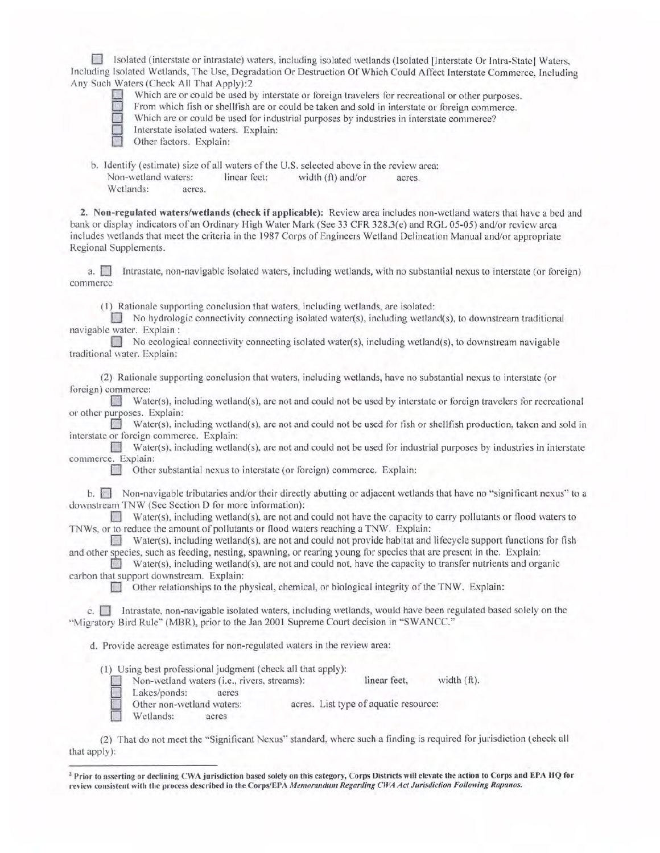0 Isolated (interstate or intrastate) waters, including isolated wetlands (Isolated [Interstate Or Intra-State] Waters, Including Isolated Wetlands, The Use, Degradation Or Destruction Of Which Could Affect Interstate Commerce, Including Any Such Waters (Check All That Apply):2



Which are or could be used by interstate or foreign travelers for recreational or other purposes.

From which fish or shellfish are or could be taken and sold in interstate or foreign commerce.

Which are or could be used for industrial purposes by industries in interstate commerce?

Interstate isolated waters. Explain:

Other factors. Explain:

b. Identify (estimate) size of all waters of the U.S. selected above in the review area: Non-wetland waters: linear feet: width (ft) and/or acres. Wetlands: acres.

2. Non-regulated waters/wetlands (check if applicable): Review area includes non-wetland waters that have a bed and bank or display indicators of an Ordinary High Water Mark (See 33 CFR 328.3(e) and RGL 05-05) and/or review area includes wetlands that meet the criteria in the 1987 Corps of Engineers Wetland Delineation Manual and/or appropriate Regional Supplements.

a.  $\Box$  Intrastate, non-navigable isolated waters, including wetlands, with no substantial nexus to interstate (or foreign) commerce

(I) Rationale supporting conclusion that waters, including wetlands, are isolated:

 $\Box$  No hydrologic connectivity connecting isolated water(s), including wetland(s), to downstream traditional navigable water. Explain :

No ecological connectivity connecting isolated water(s), including wetland(s), to downstream navigable traditional water. Explain:

(2) Rationale supporting conclusion that waters, including wetlands, have no substantial nexus to interstate (or foreign) commerce:

Water(s), including wetland(s), are not and could not be used by interstate or foreign travelers for recreational or other purposes. Explain:

Water(s), including wetland(s), are not and could not be used for fish or shellfish production, taken and sold in interstate or foreign commerce. Explain:

Water(s), including wetland(s), are not and could not be used for industrial purposes by industries in interstate commerce. Explain:

Other substantial nexus to interstate (or foreign) commerce. Explain:

b. Non-navigable tributaries and/or their directly abutting or adjacent wetlands that have no "significant nexus" to a downstream TNW (See Section D for more information):

Water(s), including wetland(s), are not and could not have the capacity to carry pollutants or flood waters to TNWs, or to reduce the amount of pollutants or flood waters reaching a TNW. Explain:

 $\Box$  Water(s), including wetland(s), are not and could not provide habitat and lifecycle support functions for fish and other species, such as feeding, nesting, spawning, or rearing young for species that are present in the. Explain:

Water(s), including wetland(s), are not and could not, have the capacity to transfer nutrients and organic carbon that support downstream. Explain:

Other relationships to the physical, chemical, or biological integrity of the TNW. Explain:

c. **I** Intrastate, non-navigable isolated waters, including wetlands, would have been regulated based solely on the "Migratory Bird Rule" (MBR), prior to the Jan 2001 Supreme Court decision in "SWANCC."

d. Provide acreage estimates for non-regulated waters in the review area:

(1) Using best professional judgment (check all that apply):

Non-wetland waters (i.e., rivers, streams): linear feet, width (ft).

Lakes/ponds: acres<br>Other non-wetland waters:

acres. List type of aquatic resource:

Wetlands: acres

(2) That do not meet the '' Significant Nexus'" standard, where such a finding is required for jurisdiction (check all that apply):

<sup>&</sup>lt;sup>2</sup> Prior to asserting or declining CWA jurisdiction based solely on this category, Corps Districts will elevate the action to Corps and EPA HQ for review consistent with the process described in the Corps/EPA *Memorandum Regarding CWA Act Jurisdiction Following Rapanos.*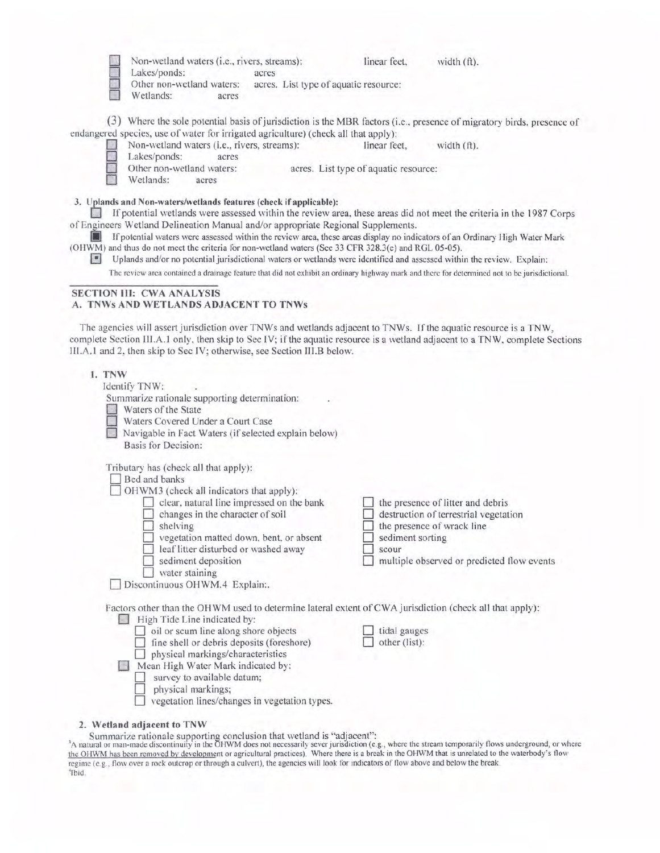| Non-wetland waters (i.e., rivers, streams):                                                                                                                                                                                                                                                                                                                                                                                                                                                                                                                                                                                             | linear feet,<br>width (ft).                                                                                                                                                         |
|-----------------------------------------------------------------------------------------------------------------------------------------------------------------------------------------------------------------------------------------------------------------------------------------------------------------------------------------------------------------------------------------------------------------------------------------------------------------------------------------------------------------------------------------------------------------------------------------------------------------------------------------|-------------------------------------------------------------------------------------------------------------------------------------------------------------------------------------|
| Lakes/ponds:<br>acres<br>Other non-wetland waters:<br>acres. List type of aquatic resource:<br>Wetlands:<br>acres                                                                                                                                                                                                                                                                                                                                                                                                                                                                                                                       |                                                                                                                                                                                     |
| endangered species, use of water for irrigated agriculture) (check all that apply):                                                                                                                                                                                                                                                                                                                                                                                                                                                                                                                                                     | (3) Where the sole potential basis of jurisdiction is the MBR factors (i.e., presence of migratory birds, presence of                                                               |
| Non-wetland waters (i.e., rivers, streams):<br>Lakes/ponds:<br>acres<br>Other non-wetland waters:                                                                                                                                                                                                                                                                                                                                                                                                                                                                                                                                       | linear feet,<br>width $(ft)$ .<br>acres. List type of aquatic resource:                                                                                                             |
| Wetlands:<br>acres                                                                                                                                                                                                                                                                                                                                                                                                                                                                                                                                                                                                                      |                                                                                                                                                                                     |
| 3. Uplands and Non-waters/wetlands features (check if applicable):<br>of Engineers Wetland Delineation Manual and/or appropriate Regional Supplements.<br>If potential waters were assessed within the review area, these areas display no indicators of an Ordinary High Water Mark<br>(OHWM) and thus do not meet the criteria for non-wetland waters (See 33 CFR 328.3(e) and RGL 05-05).<br>н<br>Uplands and/or no potential jurisdictional waters or wetlands were identified and assessed within the review. Explain:                                                                                                             | If potential wetlands were assessed within the review area, these areas did not meet the criteria in the 1987 Corps                                                                 |
| The review area contained a drainage feature that did not exhibit an ordinary highway mark and there for determined not to be jurisdictional.                                                                                                                                                                                                                                                                                                                                                                                                                                                                                           |                                                                                                                                                                                     |
| <b>SECTION III: CWA ANALYSIS</b><br>A. TNWs AND WETLANDS ADJACENT TO TNWs<br>The agencies will assert jurisdiction over TNWs and wetlands adjacent to TNWs. If the aquatic resource is a TNW,<br>complete Section III.A.1 only, then skip to Sec IV; if the aquatic resource is a wetland adjacent to a TNW, complete Sections<br>III.A.1 and 2, then skip to Sec IV; otherwise, see Section III.B below.<br>1. TNW<br>Identify TNW:<br>Summarize rationale supporting determination:<br>Waters of the State<br>Waters Covered Under a Court Case<br>Navigable in Fact Waters (if selected explain below)<br><b>Basis for Decision:</b> |                                                                                                                                                                                     |
| Tributary has (check all that apply):<br>Bed and banks<br>OHWM3 (check all indicators that apply):<br>clear, natural line impressed on the bank<br>changes in the character of soil<br>$\Box$ shelving<br>vegetation matted down, bent, or absent<br>leaf litter disturbed or washed away<br>sediment deposition<br>water staining<br>Discontinuous OHWM.4 Explain:.                                                                                                                                                                                                                                                                    | the presence of litter and debris<br>destruction of terrestrial vegetation<br>the presence of wrack line<br>sediment sorting<br>scour<br>multiple observed or predicted flow events |
| Factors other than the OHWM used to determine lateral extent of CWA jurisdiction (check all that apply):<br>High Tide Line indicated by:<br>oil or scum line along shore objects<br>fine shell or debris deposits (foreshore)<br>physical markings/characteristics<br>Mean High Water Mark indicated by:<br>survey to available datum;<br>physical markings;<br>vegetation lines/changes in vegetation types.                                                                                                                                                                                                                           | tidal gauges<br>other (list):                                                                                                                                                       |

**2. Wetland adjacent to TNW** 

Summarize rationale supporting conclusion that wetland is "adjacent":<br>A natural or man-made discontinuity in the OHWM does not necessarily sever jurisdiction (e.g., where the stream temporarily flows underground, or where the OHWM has been removed by development or agricultural practices). Where there is a break in the OHWM that is unrelated to the waterbody's flow regime (e.g., flow over a rock outcrop or through a culvert), the agencies will look for indicators of flow above and below the break. 'Ibid.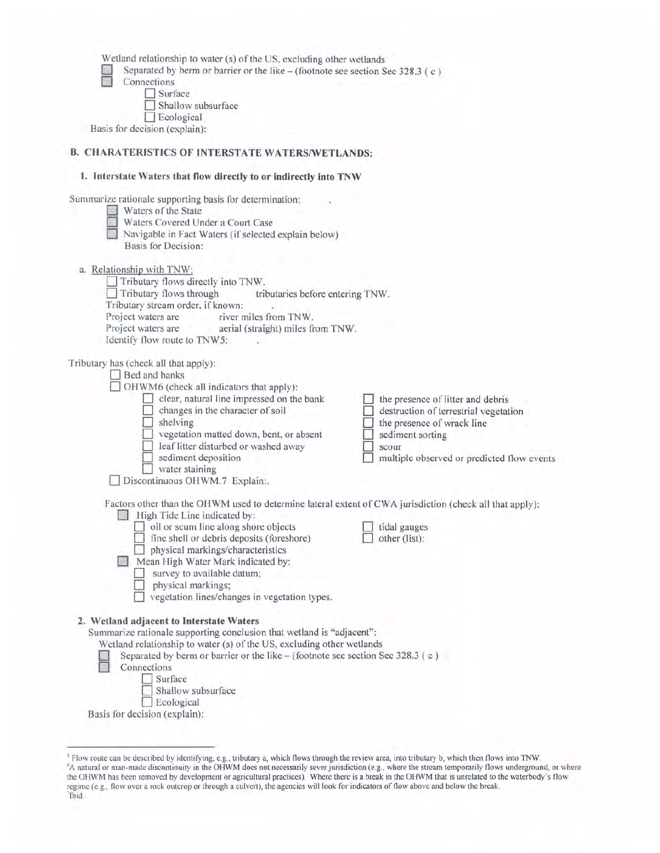Wetland relationship to water (s) of the US, excluding other wetlands<br>
Separated by berm or barrier or the like – (footnote see section S<br>
Connections Separated by berm or barrier or the like - (footnote see section Sec 328.3 (c)  $Co$ 

| Connections |  |
|-------------|--|
| Surface     |  |

 $\Box$  Ecological

Basis for decision (explain):

 $\Box$  Shallow subsurface

D Ecological Basis for decision (explain):

# **B. CHARATERISTICS OF INTERSTATE WATERS/WETLANDS:**

| 1. Interstate Waters that flow directly to or indirectly into TNW                                                                                                                                                                                                                                                                                                                                                                                                |                                                                                                                                                                                     |
|------------------------------------------------------------------------------------------------------------------------------------------------------------------------------------------------------------------------------------------------------------------------------------------------------------------------------------------------------------------------------------------------------------------------------------------------------------------|-------------------------------------------------------------------------------------------------------------------------------------------------------------------------------------|
| Summarize rationale supporting basis for determination:<br>Waters of the State<br>Waters Covered Under a Court Case<br>Navigable in Fact Waters (if selected explain below)<br>Basis for Decision:                                                                                                                                                                                                                                                               |                                                                                                                                                                                     |
| a. Relationship with TNW:<br>Tributary flows directly into TNW.<br>Tributary flows through<br>tributaries before entering TNW.<br>Tributary stream order, if known:<br>Project waters are<br>river miles from TNW.<br>Project waters are <b>aerial</b> (straight) miles from TNW.<br>Identify flow route to TNW5:                                                                                                                                                |                                                                                                                                                                                     |
| Tributary has (check all that apply):<br>Bed and banks<br>OHWM6 (check all indicators that apply):<br>clear, natural line impressed on the bank<br>changes in the character of soil<br>shelving<br>vegetation matted down, bent, or absent<br>leaf litter disturbed or washed away<br>sediment deposition<br>water staining<br>Discontinuous OHWM.7 Explain:.                                                                                                    | the presence of litter and debris<br>destruction of terrestrial vegetation<br>the presence of wrack line<br>sediment sorting<br>scour<br>multiple observed or predicted flow events |
| Factors other than the OHWM used to determine lateral extent of CWA jurisdiction (check all that apply):<br>High Tide Line indicated by:<br>$\Box$ oil or scum line along shore objects<br>fine shell or debris deposits (foreshore)<br>physical markings/characteristics<br>Mean High Water Mark indicated by:<br>survey to available datum;<br>physical markings;<br>vegetation lines/changes in vegetation types.<br>2. Wetland adjacent to Interstate Waters | tidal gauges<br>other (list):                                                                                                                                                       |
| Summarize rationale supporting conclusion that wetland is "adjacent":<br>Wetland relationship to water (s) of the US, excluding other wetlands<br>Separated by berm or barrier or the like $-$ (footnote see section Sec 328.3 (c)<br>Connections<br>Surface<br>Shallow subsurface                                                                                                                                                                               |                                                                                                                                                                                     |

<sup>&</sup>lt;sup>5</sup> Flow route can be described by identifying, e.g., tributary a, which flows through the review area, into tributary b, which then flows into TNW.<br><sup>6</sup>A natural or man-made discontinuity in the OHWM does not necessarily s the OHWM has been removed by development or agricultural practices). Where there is a break in the OHWM that is unrelated to the waterbody's flow regime (e.g. , flow over a rock outcrop or through a culvert), the agencies will look for indicators of flow above and below the break. 7 Ibid .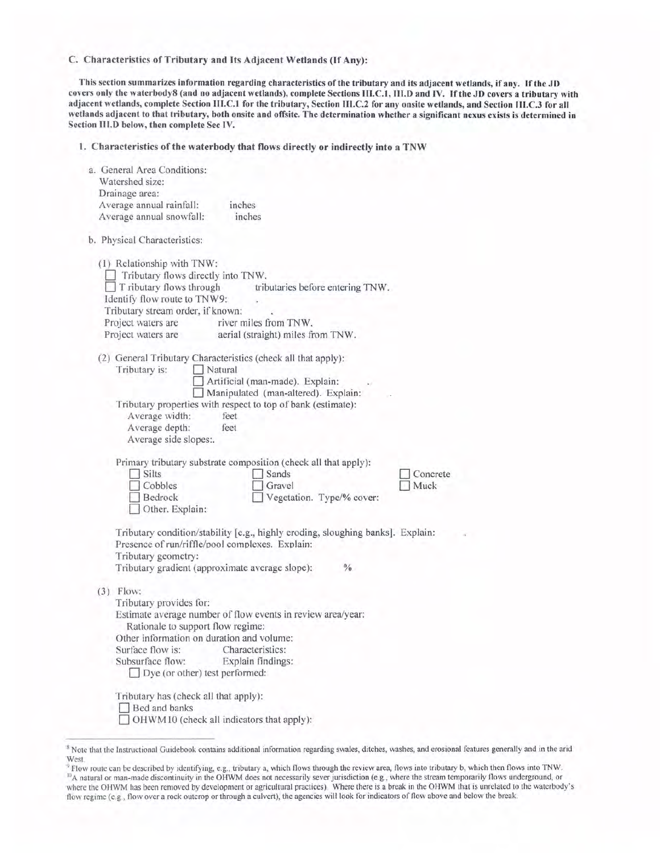C. Characteristics of Tributary and Its Adjacent Wetlands (lf Any):

This section summarizes information regarding characteristics of the tributary and its adjacent wetlands, if any. If the JO covers only the waterbody8 (and no adjacent wetlands), complete Sections III.C.I, 111.0 and IV. If the JO covers a tributary with adjacent wetlands, complete Section III.C.I for the tributary, Section III.C.2 for any onsite wetlands, and Section III.C.3 for all wetlands adjacent to that tributary, both onsite and offsite. The determination whether a significant nexus exists is determined in Section 111.0 below, then complete Sec IV.

1. Characteristics of the waterbody that flows directly or indirectly into a TNW

| a. General Area Conditions:<br>Watershed size:<br>Drainage area:                                                                                                                                                                                                                                                |                  |
|-----------------------------------------------------------------------------------------------------------------------------------------------------------------------------------------------------------------------------------------------------------------------------------------------------------------|------------------|
| Average annual rainfall:<br>inches                                                                                                                                                                                                                                                                              |                  |
| Average annual snowfall:<br>inches                                                                                                                                                                                                                                                                              |                  |
| b. Physical Characteristics:                                                                                                                                                                                                                                                                                    |                  |
| (1) Relationship with TNW:<br>Tributary flows directly into TNW.<br>T ributary flows through<br>tributaries before entering TNW.<br>Identify flow route to TNW9:<br>Tributary stream order, if known:<br>Project waters are<br>river miles from TNW.<br>Project waters are<br>aerial (straight) miles from TNW. |                  |
| (2) General Tributary Characteristics (check all that apply):<br>Tributary is:<br>Natural<br>Artificial (man-made). Explain:<br>Manipulated (man-altered). Explain:                                                                                                                                             |                  |
| Tributary properties with respect to top of bank (estimate):<br>Average width:<br>feet<br>Average depth:<br>feet<br>Average side slopes:.                                                                                                                                                                       |                  |
| Primary tributary substrate composition (check all that apply):<br>Silts<br>Sands<br>Cobbles<br>Gravel<br>Bedrock<br>Vegetation. Type/% cover:<br>Other. Explain:                                                                                                                                               | Concrete<br>Muck |
| Tributary condition/stability [e.g., highly eroding, sloughing banks]. Explain:<br>Presence of run/riffle/pool complexes. Explain:<br>Tributary geometry:<br>Tributary gradient (approximate average slope):<br>$\frac{0}{0}$                                                                                   |                  |
| $(3)$ Flow:<br>Tributary provides for:<br>Estimate average number of flow events in review area/year:<br>Rationale to support flow regime:<br>Other information on duration and volume:<br>Surface flow is:<br>Characteristics:<br>Subsurface flow:<br>Explain findings:<br>Dye (or other) test performed:      |                  |
| Tributary has (check all that apply):<br>Bed and banks<br>OHWM10 (check all indicators that apply):                                                                                                                                                                                                             |                  |

<sup>8</sup> Note that the Instructional Guidebook contains additional information regarding swales, ditches, washes, and erosional features generally and in the arid West.

<sup>&</sup>lt;sup>9</sup> Flow route can be described by identifying, e.g., tributary a, which flows through the review area, flows into tributary b, which then flows into TNW. <sup>10</sup>A natural or man-made discontinuity in the OHWM does not necessarily sever jurisdiction (e.g., where the stream temporarily flows underground, or where the OHWM has been removed by development or agricultural practices). Where there is a break in the OHWM that is unrelated to the waterbody's flow regime (e.g., flow over a rock outcrop or through a culvert), the agencies will look for indicators of flow above and below the break.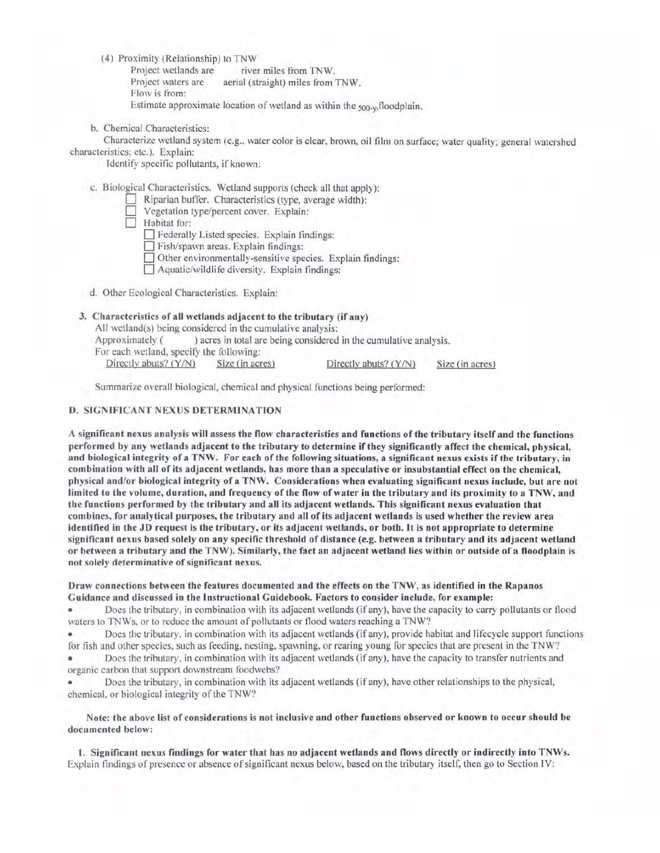(4) Proximity (Relationship) to TNW<br>Project wetlands are rive

Project wetlands are river miles from TNW.<br>Project waters are aerial (straight) miles from aerial (straight) miles from TNW. Flow is from: Estimate approximate location of wetland as within the 500-y, floodplain.

b. Chemical Characteristics:

Characterize wetland system (e.g., water color is clear, brown, oil film on surface; water quality; general watershed characteristics; etc.). Explain:

Identify specific pollutants, if known:

c. Biological Characteristics. Wetland supports (check all that apply):

- Riparian buffer. Characteristics (type, average width):
- Vegetation type/percent cover. Explain:
- Habitat for:
	- D Federally Listed species. Explain findings:
	- Fish/spawn areas. Explain findings:
	- 0 Other environmentally-sensitive species. Explain findings:
	- $\Box$  Aquatic/wildlife diversity. Explain findings:
- d. Other Ecological Characteristics. Explain:

# 3. Characteristics of all wetlands adjacent to the tributary (if any)

All wetland(s) being considered in the cumulative analysis:

Approximately () acres in total are being considered in the cumulative analysis.

For each wetland, specity the following:

Directly abuts? (Y/N) Size (in acres) Directly abuts? (Y/N) Size (in acres)

Summarize overall biological, chemical and physical functions being performed:

## **D. SIGNIFICANT NEXUS DETERMINATION**

A significant nexus analysis will assess the flow characteristics and functions of the tributary itself and the functions performed by any wetlands adjacent to the tributary to determine if they significantly affect the chemical, physical, and biological integrity of a TNW. For each of the following situations, a significant nexus exists if the tributary, in combination with all of its adjacent wetlands, has more than a speculative or insubstantial effect on the chemical, physical and/or biological integrity of a TNW. Considerations when evaluating significant nexus include, but are not limited to the volume, duration, and frequency of the flow of water in the tributary and its proximity to a TNW, and the functions performed by the tributary and all its adjacent wetlands. This significant nexus evaluation that combines, for analytical purposes, the tributary and all of its adjacent wetlands is used whether the review area identified in the JD request is the tributary, or its adjacent wetlands, or both. It is not appropriate to determine significant nexus based solely on any specific threshold of distance (e.g. between a tributary and its adjacent wetland or between a tributary and the TNW). Similarly, the fact an adjacent wetland lies within or outside of a floodplain is not solely determinative of significant nexus.

#### Draw connections between the features documented and the effects on the TNW, as identified in the Rapanos Guidance and discussed in the Instructional Guidebook. Factors to consider include, for example:

• Does the tributary , in combination with its adjacent wetlands (if any), have the capacity to carry pollutants or flood waters to TNWs, or to reduce the amount of pollutants or flood waters reaching a TNW?

• Does the tributary, in combination with its adjacent wetlands (if any), provide habitat and lifecycle support functions for fish and other species, such as feeding, nesting, spawning, or rearing young for species that are present in the TNW?

• Does the tributary, in combination with its adjacent wetlands (if any), have the capacity to transfer nutrients and organic carbon that support downstream foodwebs?

• Does the tributary, in combination with its adjacent wetlands (if any), have other relationships to the physical, chemical, or biological integrity of the TNW?

## Note: the above list of considerations is not inclusive and other functions observed or known to occur should be documented below:

I. Significant nexus findings for water that has no adjacent wetlands and flows directly or indirectly into TNWs. Explain findings of presence or absence of significant nexus below, based on the tributary itself, then go to Section IV: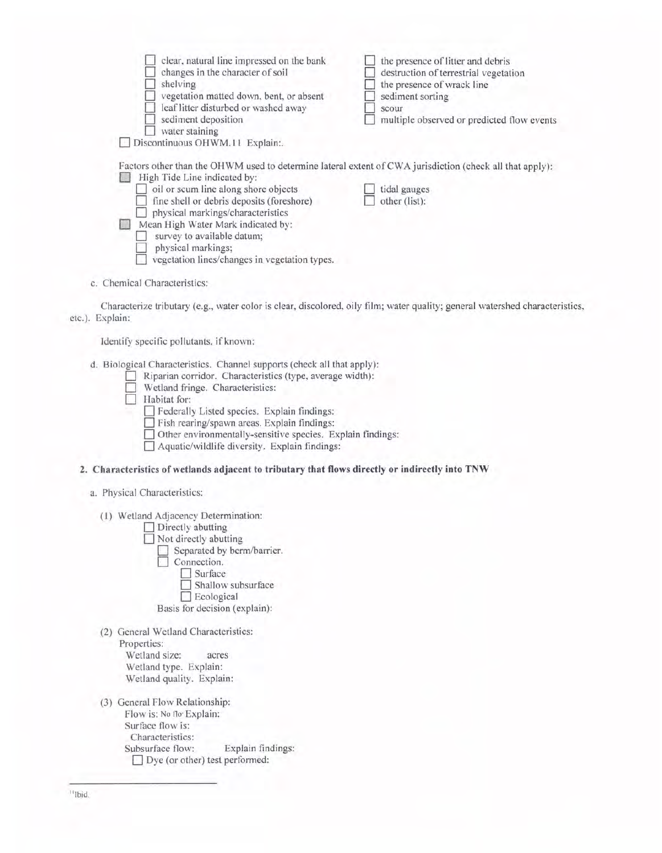| clear, natural line impressed on the bank<br>changes in the character of soil<br>shelving<br>vegetation matted down, bent, or absent<br>leaf litter disturbed or washed away<br>sediment deposition<br>water staining | the presence of litter and debris<br>destruction of terrestrial vegetation<br>the presence of wrack line<br>sediment sorting<br>scour<br>multiple observed or predicted flow events |
|-----------------------------------------------------------------------------------------------------------------------------------------------------------------------------------------------------------------------|-------------------------------------------------------------------------------------------------------------------------------------------------------------------------------------|
| Discontinuous OHWM.11 Explain:.                                                                                                                                                                                       |                                                                                                                                                                                     |
| Factors other than the OHWM used to determine lateral extent of CWA jurisdiction (check all that apply):<br>High Tide Line indicated by:                                                                              |                                                                                                                                                                                     |
| oil or scum line along shore objects                                                                                                                                                                                  | tidal gauges                                                                                                                                                                        |
| fine shell or debris deposits (foreshore)                                                                                                                                                                             | other (list):                                                                                                                                                                       |
| physical markings/characteristics                                                                                                                                                                                     |                                                                                                                                                                                     |
| Mean High Water Mark indicated by:                                                                                                                                                                                    |                                                                                                                                                                                     |
| survey to available datum;                                                                                                                                                                                            |                                                                                                                                                                                     |
| physical markings;                                                                                                                                                                                                    |                                                                                                                                                                                     |
| vegetation lines/changes in vegetation types.                                                                                                                                                                         |                                                                                                                                                                                     |
|                                                                                                                                                                                                                       |                                                                                                                                                                                     |
| c. Chemical Characteristics:                                                                                                                                                                                          |                                                                                                                                                                                     |
|                                                                                                                                                                                                                       |                                                                                                                                                                                     |
|                                                                                                                                                                                                                       | Characterize tributary (e.g., water color is clear, discolored, oily film; water quality; general watershed characteristics,                                                        |
| etc.). Explain:                                                                                                                                                                                                       |                                                                                                                                                                                     |

Identify specific pollutants. if known:

d. Biological Characteristics. Channel supports (check all that apply):

- □ Riparian corridor. Characteristics (type, average width):<br>□ Wetland fringe. Characteristics:
	-
- $\Box$  Habitat for:

0 Federally Listed species. Explain findings:

Fish rearing/spawn areas. Explain findings:

0 Other environmentally-sensitive species. Explain findings :

 $\Box$  Aquatic/wildlife diversity. Explain findings:

## **2. Characteristics of wetlands adjacent to tributary that flows directly or indirectly into TNW**

### a. Physical Characteristics:

(1) Wetland Adjacency Determination:

 $\Box$  Directly abutting

 $\Box$  Not directly abutting

Separated by berm/barrier.

Connection. Surface Shallow subsurface Ecological Basis for decision (explain):

(2) General Wetland Characteristics: Properties: Wetland size: acres Wetland type. Explain:

Wetland quality. Explain:

(3) General Flow Relationship: Flow is: No flo· Explain: Surface flow is: Characteristics: Subsurface flow: Explain findings: Dye (or other) test performed: